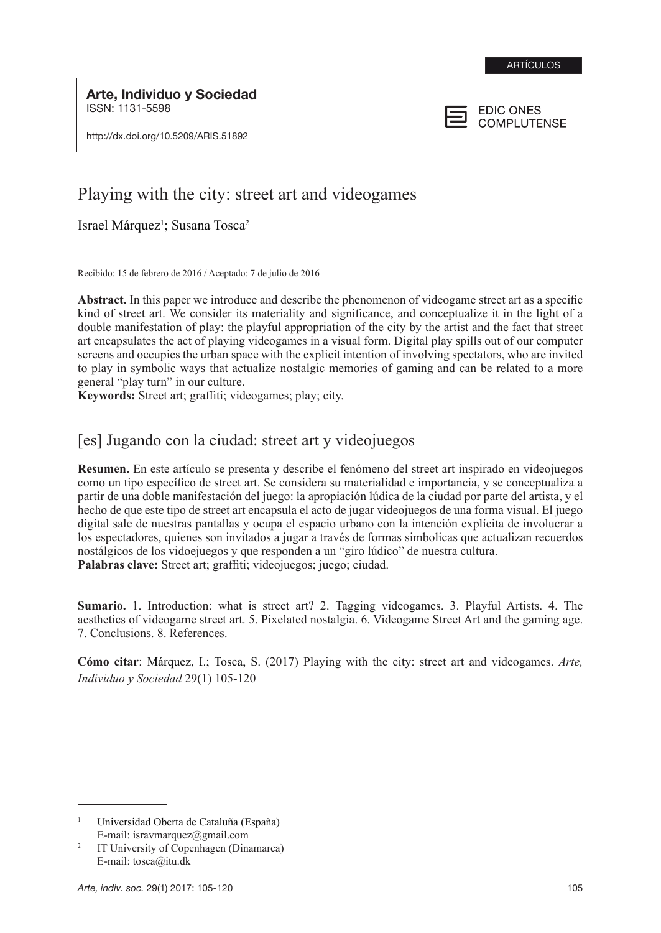Arte, Individuo y Sociedad ISSN: 1131-5598

http://dx.doi.org/10.5209/ARIS.51892



# Playing with the city: street art and videogames

Israel Márquez<sup>1</sup>; Susana Tosca<sup>2</sup>

Recibido: 15 de febrero de 2016 / Aceptado: 7 de julio de 2016

**Abstract.** In this paper we introduce and describe the phenomenon of videogame street art as a specific kind of street art. We consider its materiality and significance, and conceptualize it in the light of a double manifestation of play: the playful appropriation of the city by the artist and the fact that street art encapsulates the act of playing videogames in a visual form. Digital play spills out of our computer screens and occupies the urban space with the explicit intention of involving spectators, who are invited to play in symbolic ways that actualize nostalgic memories of gaming and can be related to a more general "play turn" in our culture.

**Keywords:** Street art; graffiti; videogames; play; city.

# [es] Jugando con la ciudad: street art y videojuegos

**Resumen.** En este artículo se presenta y describe el fenómeno del street art inspirado en videojuegos como un tipo específico de street art. Se considera su materialidad e importancia, y se conceptualiza a partir de una doble manifestación del juego: la apropiación lúdica de la ciudad por parte del artista, y el hecho de que este tipo de street art encapsula el acto de jugar videojuegos de una forma visual. El juego digital sale de nuestras pantallas y ocupa el espacio urbano con la intención explícita de involucrar a los espectadores, quienes son invitados a jugar a través de formas simbolicas que actualizan recuerdos nostálgicos de los vidoejuegos y que responden a un "giro lúdico" de nuestra cultura. **Palabras clave:** Street art; graffiti; videojuegos; juego; ciudad.

**Sumario.** 1. Introduction: what is street art? 2. Tagging videogames. 3. Playful Artists. 4. The aesthetics of videogame street art. 5. Pixelated nostalgia. 6. Videogame Street Art and the gaming age. 7. Conclusions. 8. References.

**Cómo citar**: Márquez, I.; Tosca, S. (2017) Playing with the city: street art and videogames. *Arte, Individuo y Sociedad* 29(1) 105-120

<sup>1</sup> Universidad Oberta de Cataluña (España) E-mail: isravmarquez@gmail.com

<sup>2</sup> IT University of Copenhagen (Dinamarca) E-mail: tosca@itu.dk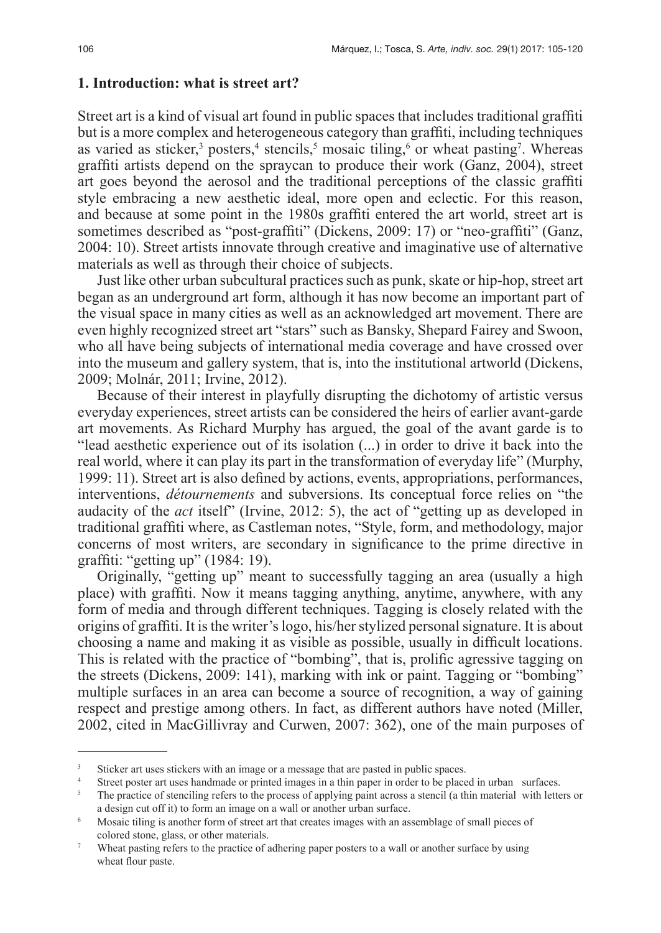### **1. Introduction: what is street art?**

Street art is a kind of visual art found in public spaces that includes traditional graffiti but is a more complex and heterogeneous category than graffiti, including techniques as varied as sticker,<sup>3</sup> posters,<sup>4</sup> stencils,<sup>5</sup> mosaic tiling,<sup>6</sup> or wheat pasting<sup>7</sup>. Whereas graffiti artists depend on the spraycan to produce their work (Ganz, 2004), street art goes beyond the aerosol and the traditional perceptions of the classic graffiti style embracing a new aesthetic ideal, more open and eclectic. For this reason, and because at some point in the 1980s graffiti entered the art world, street art is sometimes described as "post-graffiti" (Dickens, 2009: 17) or "neo-graffiti" (Ganz, 2004: 10). Street artists innovate through creative and imaginative use of alternative materials as well as through their choice of subjects.

Just like other urban subcultural practices such as punk, skate or hip-hop, street art began as an underground art form, although it has now become an important part of the visual space in many cities as well as an acknowledged art movement. There are even highly recognized street art "stars" such as Bansky, Shepard Fairey and Swoon, who all have being subjects of international media coverage and have crossed over into the museum and gallery system, that is, into the institutional artworld (Dickens, 2009; Molnár, 2011; Irvine, 2012).

Because of their interest in playfully disrupting the dichotomy of artistic versus everyday experiences, street artists can be considered the heirs of earlier avant-garde art movements. As Richard Murphy has argued, the goal of the avant garde is to "lead aesthetic experience out of its isolation (...) in order to drive it back into the real world, where it can play its part in the transformation of everyday life" (Murphy, 1999: 11). Street art is also defined by actions, events, appropriations, performances, interventions, *détournements* and subversions. Its conceptual force relies on "the audacity of the *act* itself" (Irvine, 2012: 5), the act of "getting up as developed in traditional graffiti where, as Castleman notes, "Style, form, and methodology, major concerns of most writers, are secondary in significance to the prime directive in graffiti: "getting up" (1984: 19).

Originally, "getting up" meant to successfully tagging an area (usually a high place) with graffiti. Now it means tagging anything, anytime, anywhere, with any form of media and through different techniques. Tagging is closely related with the origins of graffiti. It is the writer's logo, his/her stylized personal signature. It is about choosing a name and making it as visible as possible, usually in difficult locations. This is related with the practice of "bombing", that is, prolific agressive tagging on the streets (Dickens, 2009: 141), marking with ink or paint. Tagging or "bombing" multiple surfaces in an area can become a source of recognition, a way of gaining respect and prestige among others. In fact, as different authors have noted (Miller, 2002, cited in MacGillivray and Curwen, 2007: 362), one of the main purposes of

<sup>&</sup>lt;sup>3</sup> Sticker art uses stickers with an image or a message that are pasted in public spaces.

Street poster art uses handmade or printed images in a thin paper in order to be placed in urban surfaces.

<sup>5</sup> The practice of stenciling refers to the process of applying paint across a stencil (a thin material with letters or a design cut off it) to form an image on a wall or another urban surface.

<sup>&</sup>lt;sup>6</sup> Mosaic tiling is another form of street art that creates images with an assemblage of small pieces of colored stone, glass, or other materials.

Wheat pasting refers to the practice of adhering paper posters to a wall or another surface by using wheat flour paste.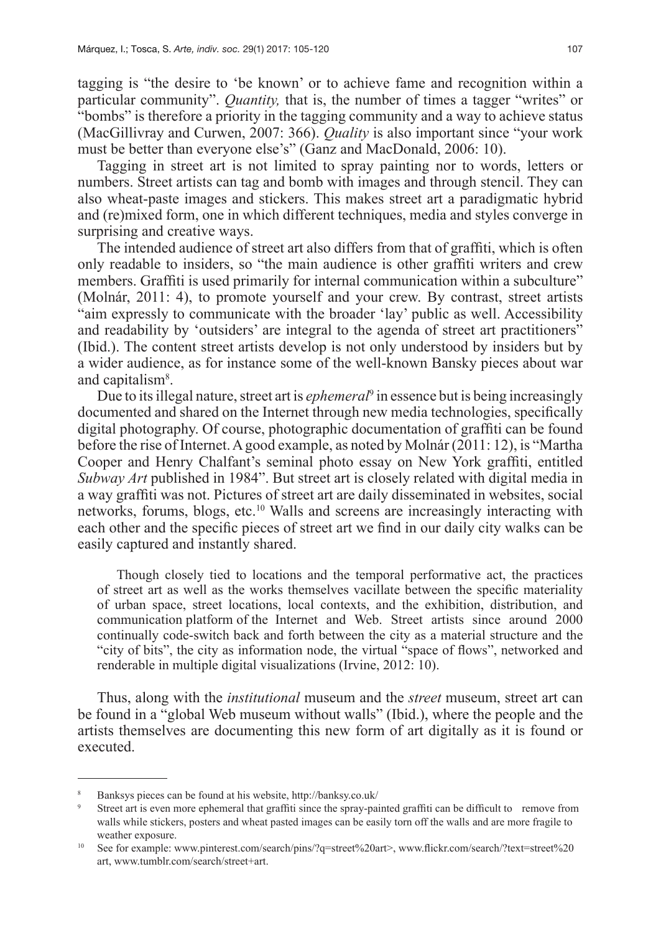tagging is "the desire to 'be known' or to achieve fame and recognition within a particular community". *Quantity,* that is, the number of times a tagger "writes" or "bombs" is therefore a priority in the tagging community and a way to achieve status (MacGillivray and Curwen, 2007: 366). *Quality* is also important since "your work must be better than everyone else's" (Ganz and MacDonald, 2006: 10).

Tagging in street art is not limited to spray painting nor to words, letters or numbers. Street artists can tag and bomb with images and through stencil. They can also wheat-paste images and stickers. This makes street art a paradigmatic hybrid and (re)mixed form, one in which different techniques, media and styles converge in surprising and creative ways.

The intended audience of street art also differs from that of graffiti, which is often only readable to insiders, so "the main audience is other graffiti writers and crew members. Graffiti is used primarily for internal communication within a subculture" (Molnár, 2011: 4), to promote yourself and your crew. By contrast, street artists "aim expressly to communicate with the broader 'lay' public as well. Accessibility and readability by 'outsiders' are integral to the agenda of street art practitioners" (Ibid.). The content street artists develop is not only understood by insiders but by a wider audience, as for instance some of the well-known Bansky pieces about war and capitalism<sup>8</sup>.

Due to its illegal nature, street art is *ephemeral*<sup>9</sup> in essence but is being increasingly documented and shared on the Internet through new media technologies, specifically digital photography. Of course, photographic documentation of graffiti can be found before the rise of Internet. A good example, as noted by Molnár (2011: 12), is "Martha Cooper and Henry Chalfant's seminal photo essay on New York graffiti, entitled *Subway Art* published in 1984". But street art is closely related with digital media in a way graffiti was not. Pictures of street art are daily disseminated in websites, social networks, forums, blogs, etc.10 Walls and screens are increasingly interacting with each other and the specific pieces of street art we find in our daily city walks can be easily captured and instantly shared.

Though closely tied to locations and the temporal performative act, the practices of street art as well as the works themselves vacillate between the specific materiality of urban space, street locations, local contexts, and the exhibition, distribution, and communication platform of the Internet and Web. Street artists since around 2000 continually code-switch back and forth between the city as a material structure and the "city of bits", the city as information node, the virtual "space of flows", networked and renderable in multiple digital visualizations (Irvine, 2012: 10).

Thus, along with the *institutional* museum and the *street* museum, street art can be found in a "global Web museum without walls" (Ibid.), where the people and the artists themselves are documenting this new form of art digitally as it is found or executed.

<sup>8</sup> Banksys pieces can be found at his website, http://banksy.co.uk/

Street art is even more ephemeral that graffiti since the spray-painted graffiti can be difficult to remove from walls while stickers, posters and wheat pasted images can be easily torn off the walls and are more fragile to weather exposure.

<sup>10</sup> See for example: www.pinterest.com/search/pins/?q=street%20art>, www.flickr.com/search/?text=street%20 art, www.tumblr.com/search/street+art.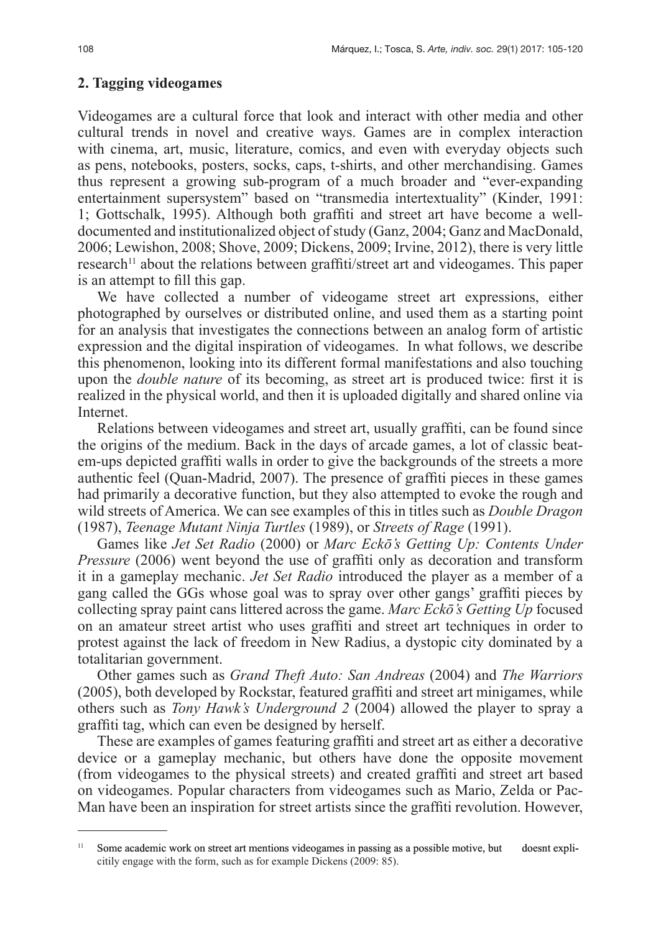### **2. Tagging videogames**

Videogames are a cultural force that look and interact with other media and other cultural trends in novel and creative ways. Games are in complex interaction with cinema, art, music, literature, comics, and even with everyday objects such as pens, notebooks, posters, socks, caps, t-shirts, and other merchandising. Games thus represent a growing sub-program of a much broader and "ever-expanding entertainment supersystem" based on "transmedia intertextuality" (Kinder, 1991: 1; Gottschalk, 1995). Although both graffiti and street art have become a welldocumented and institutionalized object of study (Ganz, 2004; Ganz and MacDonald, 2006; Lewishon, 2008; Shove, 2009; Dickens, 2009; Irvine, 2012), there is very little research<sup>11</sup> about the relations between graffiti/street art and videogames. This paper is an attempt to fill this gap.

We have collected a number of videogame street art expressions, either photographed by ourselves or distributed online, and used them as a starting point for an analysis that investigates the connections between an analog form of artistic expression and the digital inspiration of videogames. In what follows, we describe this phenomenon, looking into its different formal manifestations and also touching upon the *double nature* of its becoming, as street art is produced twice: first it is realized in the physical world, and then it is uploaded digitally and shared online via Internet.

Relations between videogames and street art, usually graffiti, can be found since the origins of the medium. Back in the days of arcade games, a lot of classic beatem-ups depicted graffiti walls in order to give the backgrounds of the streets a more authentic feel (Quan-Madrid, 2007). The presence of graffiti pieces in these games had primarily a decorative function, but they also attempted to evoke the rough and wild streets of America. We can see examples of this in titles such as *Double Dragon* (1987), *Teenage Mutant Ninja Turtles* (1989), or *Streets of Rage* (1991).

Games like *Jet Set Radio* (2000) or *Marc Eckō's Getting Up: Contents Under Pressure* (2006) went beyond the use of graffiti only as decoration and transform it in a gameplay mechanic. *Jet Set Radio* introduced the player as a member of a gang called the GGs whose goal was to spray over other gangs' graffiti pieces by collecting spray paint cans littered across the game. *Marc Eckō's Getting Up* focused on an amateur street artist who uses graffiti and street art techniques in order to protest against the lack of freedom in New Radius, a dystopic city dominated by a totalitarian government.

Other games such as *Grand Theft Auto: San Andreas* (2004) and *The Warriors*  (2005), both developed by Rockstar, featured graffiti and street art minigames, while others such as *Tony Hawk's Underground 2* (2004) allowed the player to spray a graffiti tag, which can even be designed by herself.

These are examples of games featuring graffiti and street art as either a decorative device or a gameplay mechanic, but others have done the opposite movement (from videogames to the physical streets) and created graffiti and street art based on videogames. Popular characters from videogames such as Mario, Zelda or Pac-Man have been an inspiration for street artists since the graffiti revolution. However,

<sup>11</sup> Some academic work on street art mentions videogames in passing as a possible motive, but doesnt explicitily engage with the form, such as for example Dickens (2009: 85).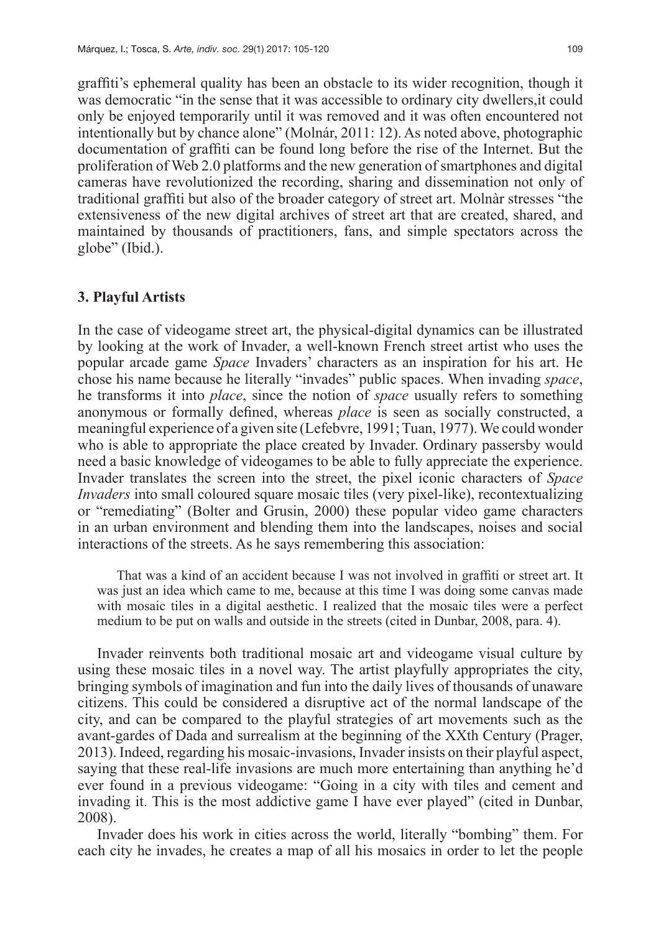graffiti's ephemeral quality has been an obstacle to its wider recognition, though it was democratic "in the sense that it was accessible to ordinary city dwellers,it could only be enjoyed temporarily until it was removed and it was often encountered not intentionally but by chance alone" (Molnár, 2011: 12). As noted above, photographic documentation of graffiti can be found long before the rise of the Internet. But the proliferation of Web 2.0 platforms and the new generation of smartphones and digital cameras have revolutionized the recording, sharing and dissemination not only of traditional graffiti but also of the broader category of street art. Molnàr stresses "the extensiveness of the new digital archives of street art that are created, shared, and maintained by thousands of practitioners, fans, and simple spectators across the globe" (Ibid.).

### **3. Playful Artists**

In the case of videogame street art, the physical-digital dynamics can be illustrated by looking at the work of Invader, a well-known French street artist who uses the popular arcade game *Space* Invaders' characters as an inspiration for his art. He chose his name because he literally "invades" public spaces. When invading *space*, he transforms it into *place*, since the notion of *space* usually refers to something anonymous or formally defined, whereas *place* is seen as socially constructed, a meaningful experience of a given site (Lefebvre, 1991; Tuan, 1977). We could wonder who is able to appropriate the place created by Invader. Ordinary passersby would need a basic knowledge of videogames to be able to fully appreciate the experience. Invader translates the screen into the street, the pixel iconic characters of *Space Invaders* into small coloured square mosaic tiles (very pixel-like), recontextualizing or "remediating" (Bolter and Grusin, 2000) these popular video game characters in an urban environment and blending them into the landscapes, noises and social interactions of the streets. As he says remembering this association:

That was a kind of an accident because I was not involved in graffiti or street art. It was just an idea which came to me, because at this time I was doing some canvas made with mosaic tiles in a digital aesthetic. I realized that the mosaic tiles were a perfect medium to be put on walls and outside in the streets (cited in Dunbar, 2008, para. 4).

Invader reinvents both traditional mosaic art and videogame visual culture by using these mosaic tiles in a novel way. The artist playfully appropriates the city, bringing symbols of imagination and fun into the daily lives of thousands of unaware citizens. This could be considered a disruptive act of the normal landscape of the city, and can be compared to the playful strategies of art movements such as the avant-gardes of Dada and surrealism at the beginning of the XXth Century (Prager, 2013). Indeed, regarding his mosaic-invasions, Invader insists on their playful aspect, saying that these real-life invasions are much more entertaining than anything he'd ever found in a previous videogame: "Going in a city with tiles and cement and invading it. This is the most addictive game I have ever played" (cited in Dunbar, 2008).

Invader does his work in cities across the world, literally "bombing" them. For each city he invades, he creates a map of all his mosaics in order to let the people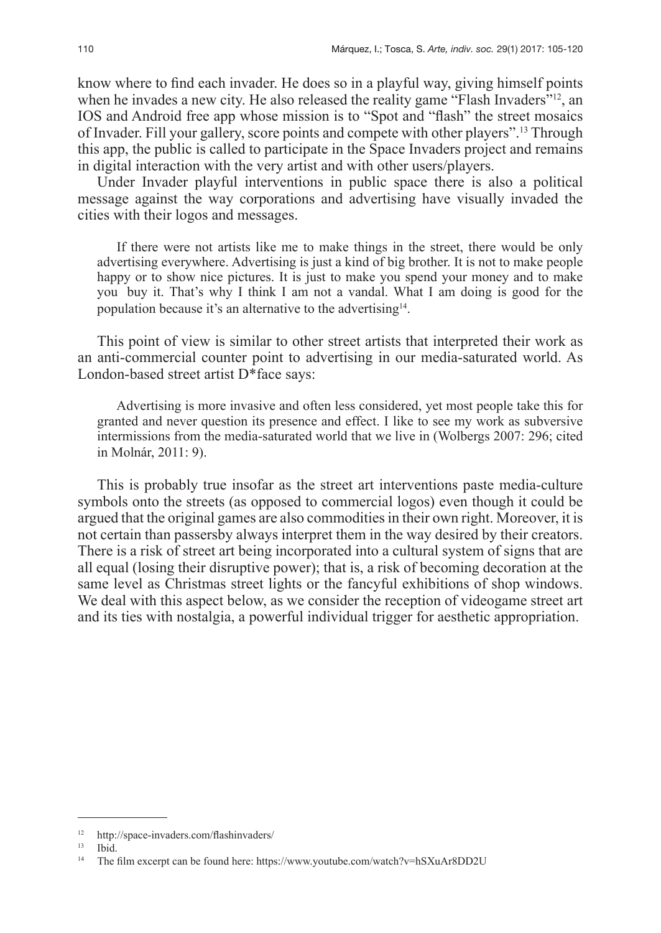know where to find each invader. He does so in a playful way, giving himself points when he invades a new city. He also released the reality game "Flash Invaders"<sup>12</sup>, an IOS and Android free app whose mission is to "Spot and "flash" the street mosaics of Invader. Fill your gallery, score points and compete with other players".13 Through this app, the public is called to participate in the Space Invaders project and remains in digital interaction with the very artist and with other users/players.

Under Invader playful interventions in public space there is also a political message against the way corporations and advertising have visually invaded the cities with their logos and messages.

If there were not artists like me to make things in the street, there would be only advertising everywhere. Advertising is just a kind of big brother. It is not to make people happy or to show nice pictures. It is just to make you spend your money and to make you buy it. That's why I think I am not a vandal. What I am doing is good for the population because it's an alternative to the advertising<sup>14</sup>.

This point of view is similar to other street artists that interpreted their work as an anti-commercial counter point to advertising in our media-saturated world. As London-based street artist D\*face says:

Advertising is more invasive and often less considered, yet most people take this for granted and never question its presence and effect. I like to see my work as subversive intermissions from the media-saturated world that we live in (Wolbergs 2007: 296; cited in Molnár, 2011: 9).

This is probably true insofar as the street art interventions paste media-culture symbols onto the streets (as opposed to commercial logos) even though it could be argued that the original games are also commodities in their own right. Moreover, it is not certain than passersby always interpret them in the way desired by their creators. There is a risk of street art being incorporated into a cultural system of signs that are all equal (losing their disruptive power); that is, a risk of becoming decoration at the same level as Christmas street lights or the fancyful exhibitions of shop windows. We deal with this aspect below, as we consider the reception of videogame street art and its ties with nostalgia, a powerful individual trigger for aesthetic appropriation.

 $12$  http://space-invaders.com/flashinvaders/

<sup>13</sup> Ibid.

<sup>&</sup>lt;sup>14</sup> The film excerpt can be found here: https://www.youtube.com/watch?v=hSXuAr8DD2U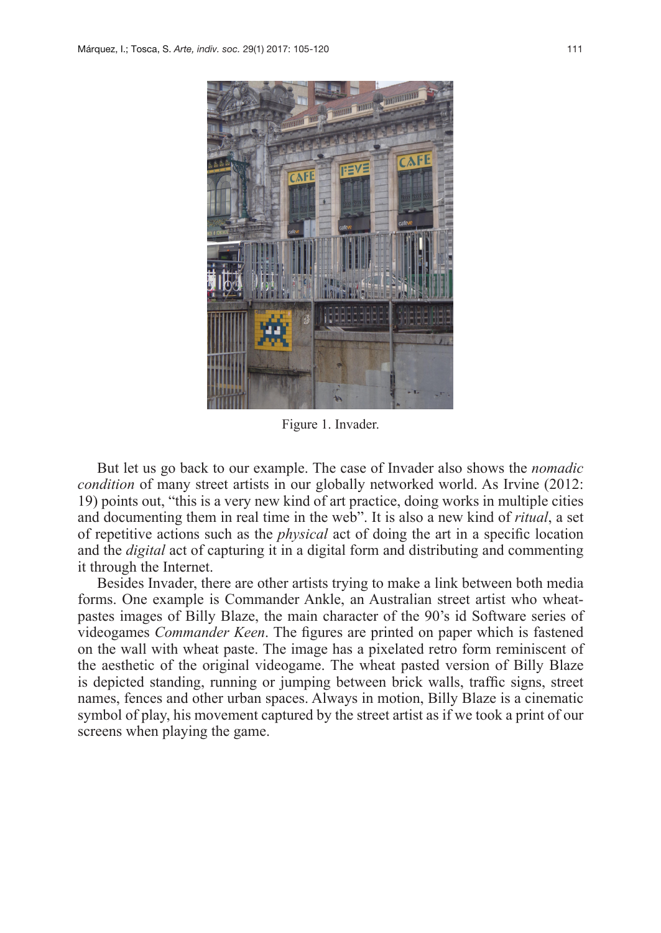

Figure 1. Invader.

But let us go back to our example. The case of Invader also shows the *nomadic condition* of many street artists in our globally networked world. As Irvine (2012: 19) points out, "this is a very new kind of art practice, doing works in multiple cities and documenting them in real time in the web". It is also a new kind of *ritual*, a set of repetitive actions such as the *physical* act of doing the art in a specific location and the *digital* act of capturing it in a digital form and distributing and commenting it through the Internet.

Besides Invader, there are other artists trying to make a link between both media forms. One example is Commander Ankle, an Australian street artist who wheatpastes images of Billy Blaze, the main character of the 90's id Software series of videogames *Commander Keen*. The figures are printed on paper which is fastened on the wall with wheat paste. The image has a pixelated retro form reminiscent of the aesthetic of the original videogame. The wheat pasted version of Billy Blaze is depicted standing, running or jumping between brick walls, traffic signs, street names, fences and other urban spaces. Always in motion, Billy Blaze is a cinematic symbol of play, his movement captured by the street artist as if we took a print of our screens when playing the game.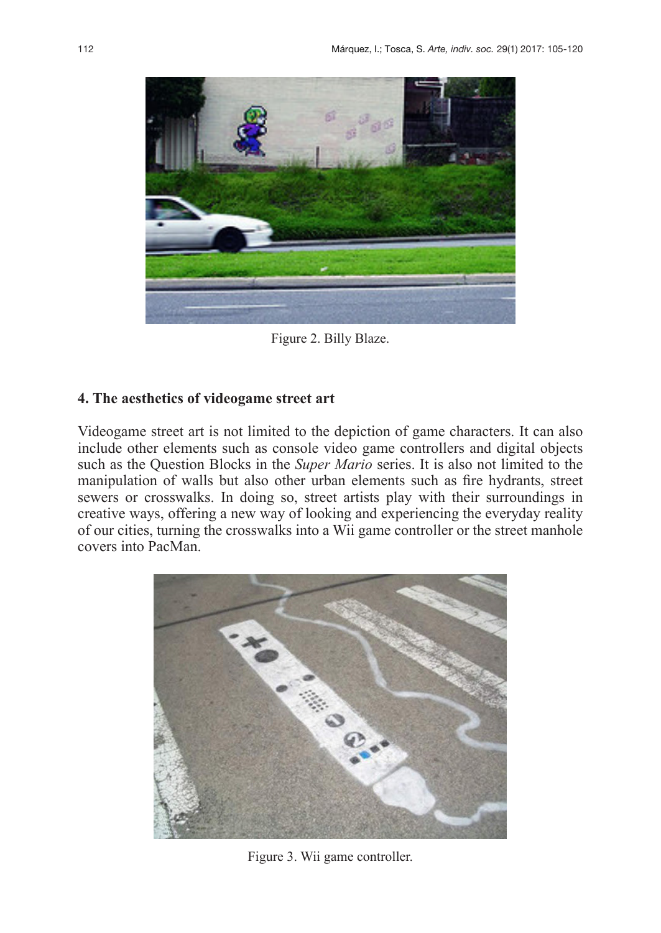

Figure 2. Billy Blaze.

### **4. The aesthetics of videogame street art**

Videogame street art is not limited to the depiction of game characters. It can also include other elements such as console video game controllers and digital objects such as the Question Blocks in the *Super Mario* series. It is also not limited to the manipulation of walls but also other urban elements such as fire hydrants, street sewers or crosswalks. In doing so, street artists play with their surroundings in creative ways, offering a new way of looking and experiencing the everyday reality of our cities, turning the crosswalks into a Wii game controller or the street manhole covers into PacMan.



Figure 3. Wii game controller.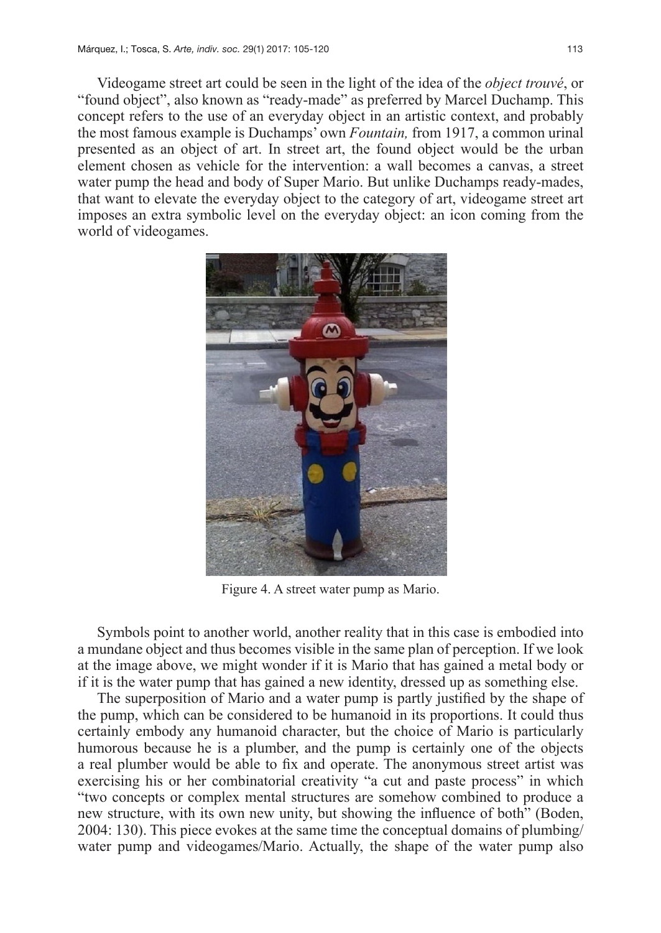Videogame street art could be seen in the light of the idea of the *object trouvé*, or "found object", also known as "ready-made" as preferred by Marcel Duchamp. This concept refers to the use of an everyday object in an artistic context, and probably the most famous example is Duchamps' own *Fountain,* from 1917, a common urinal presented as an object of art. In street art, the found object would be the urban element chosen as vehicle for the intervention: a wall becomes a canvas, a street water pump the head and body of Super Mario. But unlike Duchamps ready-mades, that want to elevate the everyday object to the category of art, videogame street art imposes an extra symbolic level on the everyday object: an icon coming from the world of videogames.



Figure 4. A street water pump as Mario.

Symbols point to another world, another reality that in this case is embodied into a mundane object and thus becomes visible in the same plan of perception. If we look at the image above, we might wonder if it is Mario that has gained a metal body or if it is the water pump that has gained a new identity, dressed up as something else.

The superposition of Mario and a water pump is partly justified by the shape of the pump, which can be considered to be humanoid in its proportions. It could thus certainly embody any humanoid character, but the choice of Mario is particularly humorous because he is a plumber, and the pump is certainly one of the objects a real plumber would be able to fix and operate. The anonymous street artist was exercising his or her combinatorial creativity "a cut and paste process" in which "two concepts or complex mental structures are somehow combined to produce a new structure, with its own new unity, but showing the influence of both" (Boden, 2004: 130). This piece evokes at the same time the conceptual domains of plumbing/ water pump and videogames/Mario. Actually, the shape of the water pump also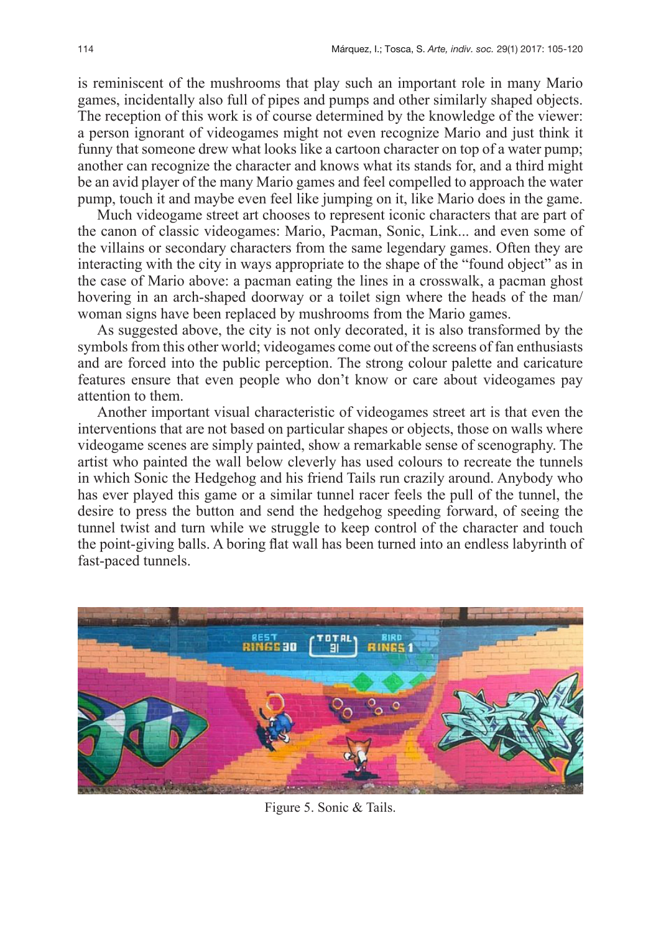is reminiscent of the mushrooms that play such an important role in many Mario games, incidentally also full of pipes and pumps and other similarly shaped objects. The reception of this work is of course determined by the knowledge of the viewer: a person ignorant of videogames might not even recognize Mario and just think it funny that someone drew what looks like a cartoon character on top of a water pump; another can recognize the character and knows what its stands for, and a third might be an avid player of the many Mario games and feel compelled to approach the water pump, touch it and maybe even feel like jumping on it, like Mario does in the game.

Much videogame street art chooses to represent iconic characters that are part of the canon of classic videogames: Mario, Pacman, Sonic, Link... and even some of the villains or secondary characters from the same legendary games. Often they are interacting with the city in ways appropriate to the shape of the "found object" as in the case of Mario above: a pacman eating the lines in a crosswalk, a pacman ghost hovering in an arch-shaped doorway or a toilet sign where the heads of the man/ woman signs have been replaced by mushrooms from the Mario games.

As suggested above, the city is not only decorated, it is also transformed by the symbols from this other world; videogames come out of the screens of fan enthusiasts and are forced into the public perception. The strong colour palette and caricature features ensure that even people who don't know or care about videogames pay attention to them.

Another important visual characteristic of videogames street art is that even the interventions that are not based on particular shapes or objects, those on walls where videogame scenes are simply painted, show a remarkable sense of scenography. The artist who painted the wall below cleverly has used colours to recreate the tunnels in which Sonic the Hedgehog and his friend Tails run crazily around. Anybody who has ever played this game or a similar tunnel racer feels the pull of the tunnel, the desire to press the button and send the hedgehog speeding forward, of seeing the tunnel twist and turn while we struggle to keep control of the character and touch the point-giving balls. A boring flat wall has been turned into an endless labyrinth of fast-paced tunnels.



Figure 5. Sonic & Tails.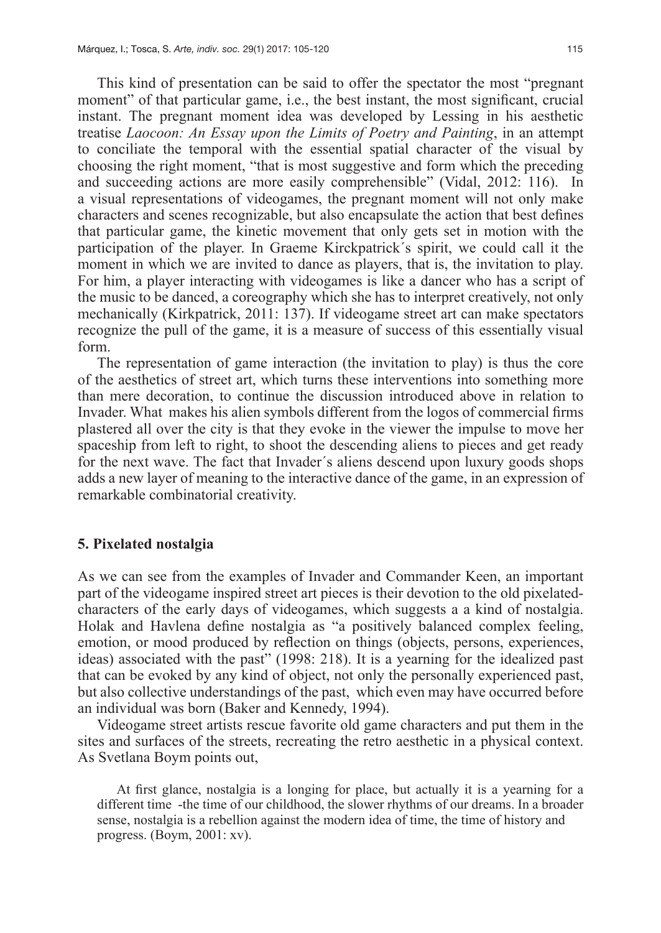This kind of presentation can be said to offer the spectator the most "pregnant moment" of that particular game, i.e., the best instant, the most significant, crucial instant. The pregnant moment idea was developed by Lessing in his aesthetic treatise *Laocoon: An Essay upon the Limits of Poetry and Painting*, in an attempt to conciliate the temporal with the essential spatial character of the visual by choosing the right moment, "that is most suggestive and form which the preceding and succeeding actions are more easily comprehensible" (Vidal, 2012: 116). In a visual representations of videogames, the pregnant moment will not only make characters and scenes recognizable, but also encapsulate the action that best defines that particular game, the kinetic movement that only gets set in motion with the participation of the player. In Graeme Kirckpatrick´s spirit, we could call it the moment in which we are invited to dance as players, that is, the invitation to play. For him, a player interacting with videogames is like a dancer who has a script of the music to be danced, a coreography which she has to interpret creatively, not only mechanically (Kirkpatrick, 2011: 137). If videogame street art can make spectators recognize the pull of the game, it is a measure of success of this essentially visual form.

The representation of game interaction (the invitation to play) is thus the core of the aesthetics of street art, which turns these interventions into something more than mere decoration, to continue the discussion introduced above in relation to Invader. What makes his alien symbols different from the logos of commercial firms plastered all over the city is that they evoke in the viewer the impulse to move her spaceship from left to right, to shoot the descending aliens to pieces and get ready for the next wave. The fact that Invader´s aliens descend upon luxury goods shops adds a new layer of meaning to the interactive dance of the game, in an expression of remarkable combinatorial creativity.

#### **5. Pixelated nostalgia**

As we can see from the examples of Invader and Commander Keen, an important part of the videogame inspired street art pieces is their devotion to the old pixelatedcharacters of the early days of videogames, which suggests a a kind of nostalgia. Holak and Havlena define nostalgia as "a positively balanced complex feeling, emotion, or mood produced by reflection on things (objects, persons, experiences, ideas) associated with the past" (1998: 218). It is a yearning for the idealized past that can be evoked by any kind of object, not only the personally experienced past, but also collective understandings of the past, which even may have occurred before an individual was born (Baker and Kennedy, 1994).

Videogame street artists rescue favorite old game characters and put them in the sites and surfaces of the streets, recreating the retro aesthetic in a physical context. As Svetlana Boym points out,

At first glance, nostalgia is a longing for place, but actually it is a yearning for a different time -the time of our childhood, the slower rhythms of our dreams. In a broader sense, nostalgia is a rebellion against the modern idea of time, the time of history and progress. (Boym, 2001: xv).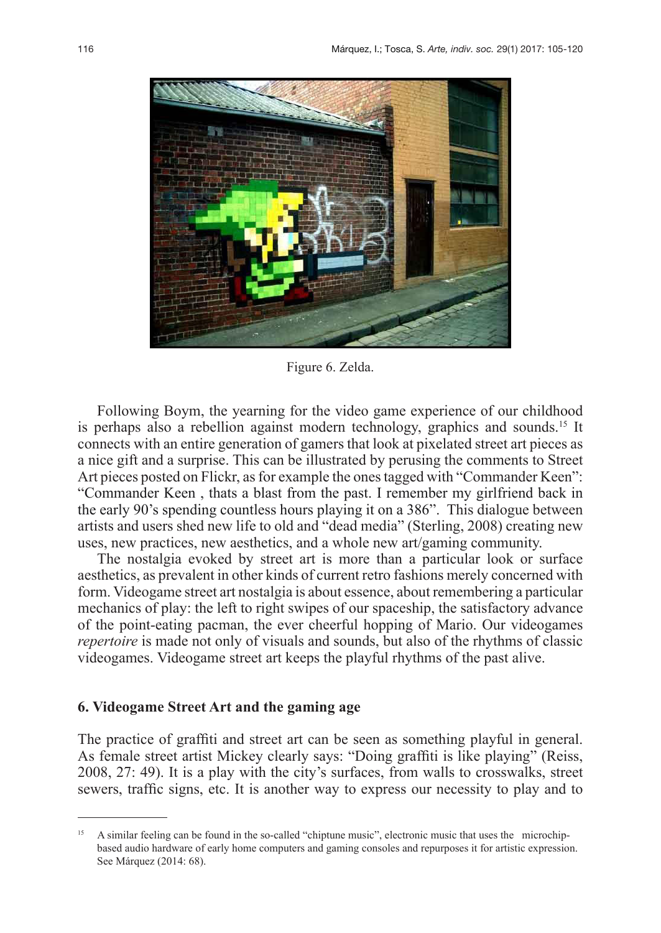

Figure 6. Zelda.

Following Boym, the yearning for the video game experience of our childhood is perhaps also a rebellion against modern technology, graphics and sounds.15 It connects with an entire generation of gamers that look at pixelated street art pieces as a nice gift and a surprise. This can be illustrated by perusing the comments to Street Art pieces posted on Flickr, as for example the ones tagged with "Commander Keen": "Commander Keen , thats a blast from the past. I remember my girlfriend back in the early 90's spending countless hours playing it on a 386". This dialogue between artists and users shed new life to old and "dead media" (Sterling, 2008) creating new uses, new practices, new aesthetics, and a whole new art/gaming community.

The nostalgia evoked by street art is more than a particular look or surface aesthetics, as prevalent in other kinds of current retro fashions merely concerned with form. Videogame street art nostalgia is about essence, about remembering a particular mechanics of play: the left to right swipes of our spaceship, the satisfactory advance of the point-eating pacman, the ever cheerful hopping of Mario. Our videogames *repertoire* is made not only of visuals and sounds, but also of the rhythms of classic videogames. Videogame street art keeps the playful rhythms of the past alive.

#### **6. Videogame Street Art and the gaming age**

The practice of graffiti and street art can be seen as something playful in general. As female street artist Mickey clearly says: "Doing graffiti is like playing" (Reiss, 2008, 27: 49). It is a play with the city's surfaces, from walls to crosswalks, street sewers, traffic signs, etc. It is another way to express our necessity to play and to

<sup>15</sup> A similar feeling can be found in the so-called "chiptune music", electronic music that uses the microchipbased audio hardware of early home computers and gaming consoles and repurposes it for artistic expression. See Márquez (2014: 68).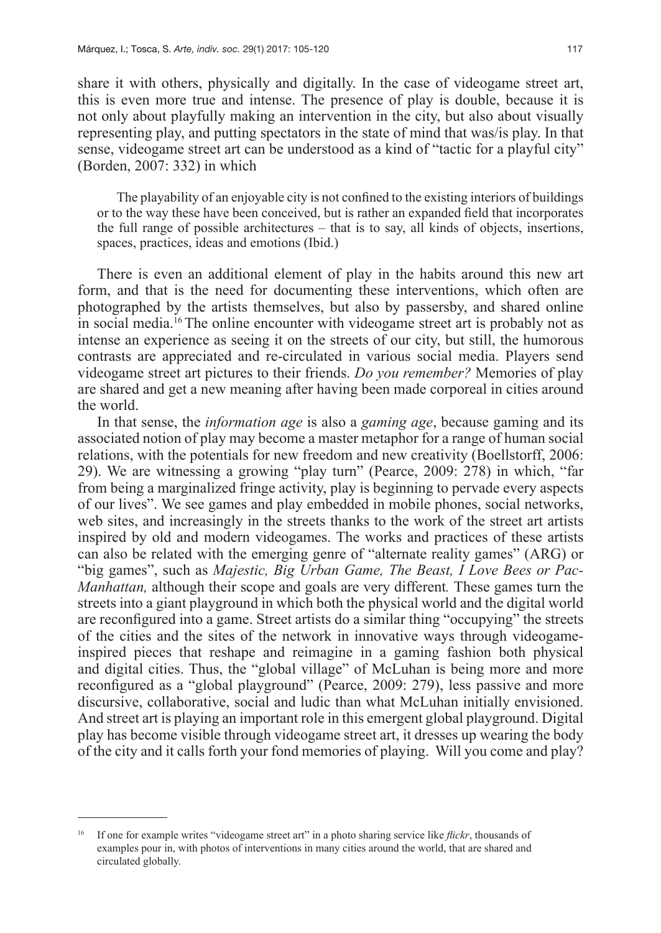share it with others, physically and digitally. In the case of videogame street art, this is even more true and intense. The presence of play is double, because it is not only about playfully making an intervention in the city, but also about visually representing play, and putting spectators in the state of mind that was/is play. In that sense, videogame street art can be understood as a kind of "tactic for a playful city" (Borden, 2007: 332) in which

The playability of an enjoyable city is not confined to the existing interiors of buildings or to the way these have been conceived, but is rather an expanded field that incorporates the full range of possible architectures – that is to say, all kinds of objects, insertions, spaces, practices, ideas and emotions (Ibid.)

There is even an additional element of play in the habits around this new art form, and that is the need for documenting these interventions, which often are photographed by the artists themselves, but also by passersby, and shared online in social media.16 The online encounter with videogame street art is probably not as intense an experience as seeing it on the streets of our city, but still, the humorous contrasts are appreciated and re-circulated in various social media. Players send videogame street art pictures to their friends. *Do you remember?* Memories of play are shared and get a new meaning after having been made corporeal in cities around the world.

In that sense, the *information age* is also a *gaming age*, because gaming and its associated notion of play may become a master metaphor for a range of human social relations, with the potentials for new freedom and new creativity (Boellstorff, 2006: 29). We are witnessing a growing "play turn" (Pearce, 2009: 278) in which, "far from being a marginalized fringe activity, play is beginning to pervade every aspects of our lives". We see games and play embedded in mobile phones, social networks, web sites, and increasingly in the streets thanks to the work of the street art artists inspired by old and modern videogames. The works and practices of these artists can also be related with the emerging genre of "alternate reality games" (ARG) or "big games", such as *Majestic, Big Urban Game, The Beast, I Love Bees or Pac-Manhattan,* although their scope and goals are very different*.* These games turn the streets into a giant playground in which both the physical world and the digital world are reconfigured into a game. Street artists do a similar thing "occupying" the streets of the cities and the sites of the network in innovative ways through videogameinspired pieces that reshape and reimagine in a gaming fashion both physical and digital cities. Thus, the "global village" of McLuhan is being more and more reconfigured as a "global playground" (Pearce, 2009: 279), less passive and more discursive, collaborative, social and ludic than what McLuhan initially envisioned. And street art is playing an important role in this emergent global playground. Digital play has become visible through videogame street art, it dresses up wearing the body of the city and it calls forth your fond memories of playing. Will you come and play?

<sup>16</sup> If one for example writes "videogame street art" in a photo sharing service like *flickr*, thousands of examples pour in, with photos of interventions in many cities around the world, that are shared and circulated globally.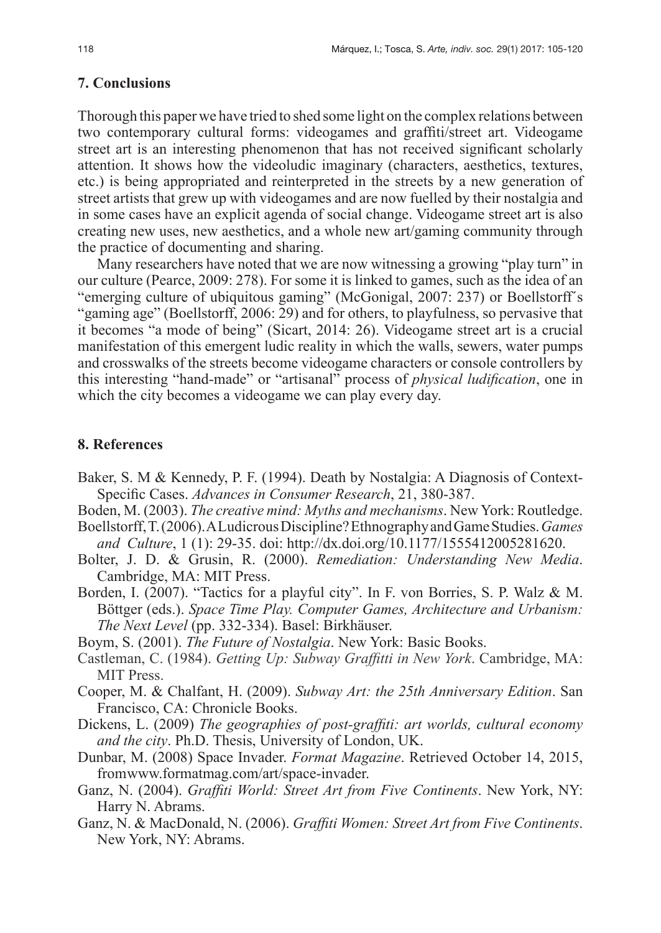# **7. Conclusions**

Thorough this paper we have tried to shed some light on the complex relations between two contemporary cultural forms: videogames and graffiti/street art. Videogame street art is an interesting phenomenon that has not received significant scholarly attention. It shows how the videoludic imaginary (characters, aesthetics, textures, etc.) is being appropriated and reinterpreted in the streets by a new generation of street artists that grew up with videogames and are now fuelled by their nostalgia and in some cases have an explicit agenda of social change. Videogame street art is also creating new uses, new aesthetics, and a whole new art/gaming community through the practice of documenting and sharing.

Many researchers have noted that we are now witnessing a growing "play turn" in our culture (Pearce, 2009: 278). For some it is linked to games, such as the idea of an "emerging culture of ubiquitous gaming" (McGonigal, 2007: 237) or Boellstorff´s "gaming age" (Boellstorff, 2006: 29) and for others, to playfulness, so pervasive that it becomes "a mode of being" (Sicart, 2014: 26). Videogame street art is a crucial manifestation of this emergent ludic reality in which the walls, sewers, water pumps and crosswalks of the streets become videogame characters or console controllers by this interesting "hand-made" or "artisanal" process of *physical ludification*, one in which the city becomes a videogame we can play every day.

# **8. References**

- Baker, S. M & Kennedy, P. F. (1994). Death by Nostalgia: A Diagnosis of Context-Specific Cases. *Advances in Consumer Research*, 21, 380-387.
- Boden, M. (2003). *The creative mind: Myths and mechanisms*. New York: Routledge.
- Boellstorff, T. (2006). A Ludicrous Discipline? Ethnography and Game Studies. *Games and Culture*, 1 (1): 29-35. doi: http://dx.doi.org/10.1177/1555412005281620.
- Bolter, J. D. & Grusin, R. (2000). *Remediation: Understanding New Media*. Cambridge, MA: MIT Press.
- Borden, I. (2007). "Tactics for a playful city". In F. von Borries, S. P. Walz & M. Böttger (eds.). *Space Time Play. Computer Games, Architecture and Urbanism: The Next Level* (pp. 332-334). Basel: Birkhäuser.
- Boym, S. (2001). *The Future of Nostalgia*. New York: Basic Books.
- Castleman, C. (1984). *Getting Up: Subway Graffitti in New York*. Cambridge, MA: MIT Press.
- Cooper, M. & Chalfant, H. (2009). *Subway Art: the 25th Anniversary Edition*. San Francisco, CA: Chronicle Books.
- Dickens, L. (2009) *The geographies of post-graffiti: art worlds, cultural economy and the city*. Ph.D. Thesis, University of London, UK.
- Dunbar, M. (2008) Space Invader. *Format Magazine*. Retrieved October 14, 2015, fromwww.formatmag.com/art/space-invader.
- Ganz, N. (2004). *Graffiti World: Street Art from Five Continents*. New York, NY: Harry N. Abrams.
- Ganz, N. & MacDonald, N. (2006). *Graffiti Women: Street Art from Five Continents*. New York, NY: Abrams.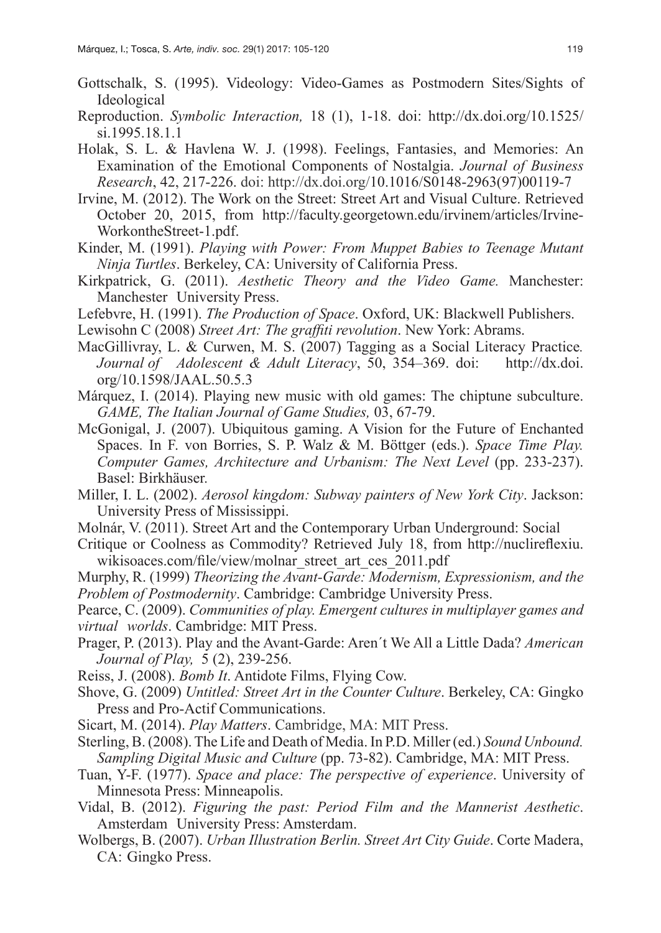- Gottschalk, S. (1995). Videology: Video-Games as Postmodern Sites/Sights of Ideological
- Reproduction. *Symbolic Interaction,* 18 (1), 1-18. doi: http://dx.doi.org/10.1525/ si.1995.18.1.1
- Holak, S. L. & Havlena W. J. (1998). Feelings, Fantasies, and Memories: An Examination of the Emotional Components of Nostalgia. *Journal of Business Research*, 42, 217-226. doi: http://dx.doi.org/10.1016/S0148-2963(97)00119-7
- Irvine, M. (2012). The Work on the Street: Street Art and Visual Culture. Retrieved October 20, 2015, from http://faculty.georgetown.edu/irvinem/articles/Irvine-WorkontheStreet-1.pdf.
- Kinder, M. (1991). *Playing with Power: From Muppet Babies to Teenage Mutant Ninja Turtles*. Berkeley, CA: University of California Press.
- Kirkpatrick, G. (2011). *Aesthetic Theory and the Video Game.* Manchester: Manchester University Press.
- Lefebvre, H. (1991). *The Production of Space*. Oxford, UK: Blackwell Publishers.
- Lewisohn C (2008) *Street Art: The graffiti revolution*. New York: Abrams.
- MacGillivray, L. & Curwen, M. S. (2007) Tagging as a Social Literacy Practice*. Journal of Adolescent & Adult Literacy*, 50, 354–369. doi: http://dx.doi. org/10.1598/JAAL.50.5.3
- Márquez, I. (2014). Playing new music with old games: The chiptune subculture. *GAME, The Italian Journal of Game Studies,* 03, 67-79.
- McGonigal, J. (2007). Ubiquitous gaming. A Vision for the Future of Enchanted Spaces. In F. von Borries, S. P. Walz & M. Böttger (eds.). *Space Time Play. Computer Games, Architecture and Urbanism: The Next Level* (pp. 233-237). Basel: Birkhäuser.
- Miller, I. L. (2002). *Aerosol kingdom: Subway painters of New York City*. Jackson: University Press of Mississippi.
- Molnár, V. (2011). Street Art and the Contemporary Urban Underground: Social
- Critique or Coolness as Commodity? Retrieved July 18, from http://nuclireflexiu. wikisoaces.com/file/view/molnar\_street\_art\_ces\_2011.pdf
- Murphy, R. (1999) *Theorizing the Avant-Garde: Modernism, Expressionism, and the Problem of Postmodernity*. Cambridge: Cambridge University Press.
- Pearce, C. (2009). *Communities of play. Emergent cultures in multiplayer games and virtual worlds*. Cambridge: MIT Press.
- Prager, P. (2013). Play and the Avant-Garde: Aren´t We All a Little Dada? *American Journal of Play,* 5 (2), 239-256.
- Reiss, J. (2008). *Bomb It*. Antidote Films, Flying Cow.
- Shove, G. (2009) *Untitled: Street Art in the Counter Culture*. Berkeley, CA: Gingko Press and Pro-Actif Communications.
- Sicart, M. (2014). *Play Matters*. Cambridge, MA: MIT Press.
- Sterling, B. (2008). The Life and Death of Media. In P.D. Miller (ed.) *Sound Unbound. Sampling Digital Music and Culture* (pp. 73-82). Cambridge, MA: MIT Press.
- Tuan, Y-F. (1977). *Space and place: The perspective of experience*. University of Minnesota Press: Minneapolis.
- Vidal, B. (2012). *Figuring the past: Period Film and the Mannerist Aesthetic*. Amsterdam University Press: Amsterdam.
- Wolbergs, B. (2007). *Urban Illustration Berlin. Street Art City Guide*. Corte Madera, CA: Gingko Press.